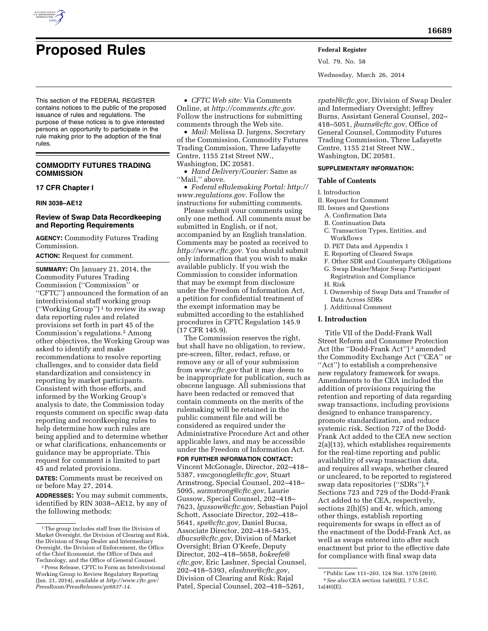

# **Proposed Rules Federal Register**

This section of the FEDERAL REGISTER contains notices to the public of the proposed issuance of rules and regulations. The purpose of these notices is to give interested persons an opportunity to participate in the rule making prior to the adoption of the final rules.

# **COMMODITY FUTURES TRADING COMMISSION**

## **17 CFR Chapter I**

## **RIN 3038–AE12**

# **Review of Swap Data Recordkeeping and Reporting Requirements**

**AGENCY:** Commodity Futures Trading Commission.

**ACTION:** Request for comment.

**SUMMARY:** On January 21, 2014, the Commodity Futures Trading Commission (''Commission'' or ''CFTC'') announced the formation of an interdivisional staff working group  $("Working Group")^1$  to review its swap data reporting rules and related provisions set forth in part 45 of the Commission's regulations.2 Among other objectives, the Working Group was asked to identify and make recommendations to resolve reporting challenges, and to consider data field standardization and consistency in reporting by market participants. Consistent with those efforts, and informed by the Working Group's analysis to date, the Commission today requests comment on specific swap data reporting and recordkeeping rules to help determine how such rules are being applied and to determine whether or what clarifications, enhancements or guidance may be appropriate. This request for comment is limited to part 45 and related provisions.

**DATES:** Comments must be received on or before May 27, 2014.

**ADDRESSES:** You may submit comments, identified by RIN 3038–AE12, by any of the following methods:

• *CFTC Web site:* Via Comments Online, at *[http://comments.cftc.gov.](http://comments.cftc.gov)*  Follow the instructions for submitting comments through the Web site.

• *Mail:* Melissa D. Jurgens, Secretary of the Commission, Commodity Futures Trading Commission, Three Lafayette Centre, 1155 21st Street NW., Washington, DC 20581.

• *Hand Delivery/Courier:* Same as "Mail," above.

• *Federal eRulemaking Portal: [http://](http://www.regulations.gov)  [www.regulations.gov.](http://www.regulations.gov)* Follow the instructions for submitting comments.

Please submit your comments using only one method. All comments must be submitted in English, or if not, accompanied by an English translation. Comments may be posted as received to *[http://www.cftc.gov.](http://www.cftc.gov)* You should submit only information that you wish to make available publicly. If you wish the Commission to consider information that may be exempt from disclosure under the Freedom of Information Act, a petition for confidential treatment of the exempt information may be submitted according to the established procedures in CFTC Regulation 145.9 (17 CFR 145.9).

The Commission reserves the right, but shall have no obligation, to review, pre-screen, filter, redact, refuse, or remove any or all of your submission from *[www.cftc.gov](http://www.cftc.gov)* that it may deem to be inappropriate for publication, such as obscene language. All submissions that have been redacted or removed that contain comments on the merits of the rulemaking will be retained in the public comment file and will be considered as required under the Administrative Procedure Act and other applicable laws, and may be accessible under the Freedom of Information Act.

**FOR FURTHER INFORMATION CONTACT:**  Vincent McGonagle, Director, 202–418– 5387, *[vmcgonagle@cftc.gov,](mailto:vmcgonagle@cftc.gov)* Stuart Armstrong, Special Counsel, 202–418– 5095, *[sarmstrong@cftc.gov,](mailto:sarmstrong@cftc.gov)* Laurie Gussow, Special Counsel, 202–418– 7623, *[lgussow@cftc.gov,](mailto:lgussow@cftc.gov)* Sebastian Pujol Schott, Associate Director, 202–418– 5641, *[sps@cftc.gov,](mailto:sps@cftc.gov)* Daniel Bucsa, Associate Director, 202–418–5435, *[dbucsa@cftc.gov,](mailto:dbucsa@cftc.gov)* Division of Market Oversight; Brian O'Keefe, Deputy Director, 202–418–5658, *[bokeefe@](mailto:bokeefe@cftc.gov) [cftc.gov,](mailto:bokeefe@cftc.gov)* Eric Lashner, Special Counsel, 202–418–5393, *[elashner@cftc.gov,](mailto:elashner@cftc.gov)*  Division of Clearing and Risk; Rajal Patel, Special Counsel, 202–418–5261,

Vol. 79, No. 58 Wednesday, March 26, 2014

*[rpatel@cftc.gov,](mailto:rpatel@cftc.gov)* Division of Swap Dealer and Intermediary Oversight; Jeffrey Burns, Assistant General Counsel, 202– 418–5051, *[jburns@cftc.gov,](mailto:jburns@cftc.gov)* Office of General Counsel, Commodity Futures Trading Commission, Three Lafayette Centre, 1155 21st Street NW., Washington, DC 20581.

## **SUPPLEMENTARY INFORMATION:**

## **Table of Contents**

I. Introduction

II. Request for Comment

- III. Issues and Questions
	- A. Confirmation Data
	- B. Continuation Data
	- C. Transaction Types, Entities, and Workflows
	- D. PET Data and Appendix 1
	- E. Reporting of Cleared Swaps
	- F. Other SDR and Counterparty Obligations
	- G. Swap Dealer/Major Swap Participant
	- Registration and Compliance H. Risk
	- I. Ownership of Swap Data and Transfer of Data Across SDRs
	- J. Additional Comment

## **I. Introduction**

Title VII of the Dodd-Frank Wall Street Reform and Consumer Protection Act (the ''Dodd-Frank Act'') 3 amended the Commodity Exchange Act (''CEA'' or ''Act'') to establish a comprehensive new regulatory framework for swaps. Amendments to the CEA included the addition of provisions requiring the retention and reporting of data regarding swap transactions, including provisions designed to enhance transparency, promote standardization, and reduce systemic risk. Section 727 of the Dodd-Frank Act added to the CEA new section 2(a)(13), which establishes requirements for the real-time reporting and public availability of swap transaction data, and requires all swaps, whether cleared or uncleared, to be reported to registered swap data repositories ("SDRs").<sup>4</sup> Sections 723 and 729 of the Dodd-Frank Act added to the CEA, respectively, sections 2(h)(5) and 4r, which, among other things, establish reporting requirements for swaps in effect as of the enactment of the Dodd-Frank Act, as well as swaps entered into after such enactment but prior to the effective date for compliance with final swap data

<sup>&</sup>lt;sup>1</sup>The group includes staff from the Division of Market Oversight, the Division of Clearing and Risk, the Division of Swap Dealer and Intermediary Oversight, the Division of Enforcement, the Office of the Chief Economist, the Office of Data and Technology, and the Office of General Counsel.

<sup>2</sup>Press Release, CFTC to Form an Interdivisional Working Group to Review Regulatory Reporting (Jan. 21, 2014), available at *[http://www.cftc.gov/](http://www.cftc.gov/PressRoom/PressReleases/pr6837-14) [PressRoom/PressReleases/pr6837-14.](http://www.cftc.gov/PressRoom/PressReleases/pr6837-14)* 

<sup>3</sup>Public Law 111–203, 124 Stat. 1376 (2010). 4*See also* CEA section 1a(40)(E), 7 U.S.C. 1a(40)(E).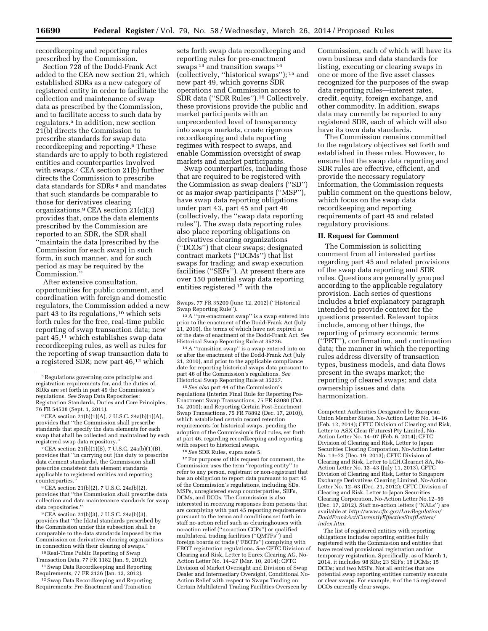recordkeeping and reporting rules prescribed by the Commission.

Section 728 of the Dodd-Frank Act added to the CEA new section 21, which established SDRs as a new category of registered entity in order to facilitate the collection and maintenance of swap data as prescribed by the Commission, and to facilitate access to such data by regulators.5 In addition, new section 21(b) directs the Commission to prescribe standards for swap data recordkeeping and reporting.6 These standards are to apply to both registered entities and counterparties involved with swaps.7 CEA section 21(b) further directs the Commission to prescribe data standards for SDRs 8 and mandates that such standards be comparable to those for derivatives clearing organizations.9 CEA section 21(c)(3) provides that, once the data elements prescribed by the Commission are reported to an SDR, the SDR shall ''maintain the data [prescribed by the Commission for each swap] in such form, in such manner, and for such period as may be required by the Commission.''

After extensive consultation, opportunities for public comment, and coordination with foreign and domestic regulators, the Commission added a new part 43 to its regulations,<sup>10</sup> which sets forth rules for the free, real-time public reporting of swap transaction data; new part 45,11 which establishes swap data recordkeeping rules, as well as rules for the reporting of swap transaction data to a registered SDR; new part 46,<sup>12</sup> which

7CEA section 21(b)(1)(B), 7 U.S.C. 24a(b)(1)(B), provides that ''in carrying out [the duty to prescribe data element standards], the Commission shall prescribe consistent data element standards applicable to registered entities and reporting counterparties.''

8CEA section 21(b)(2), 7 U.S.C. 24a(b)(2), provides that ''the Commission shall prescribe data collection and data maintenance standards for swap data repositories.''

9CEA section 21(b)(3), 7 U.S.C. 24a(b)(3), provides that ''the [data] standards prescribed by the Commission under this subsection shall be comparable to the data standards imposed by the Commission on derivatives clearing organizations in connection with their clearing of swaps.

10Real-Time Public Reporting of Swap Transaction Data, 77 FR 1182 (Jan. 9, 2012).

11Swap Data Recordkeeping and Reporting Requirements, 77 FR 2136 (Jan. 13, 2012).

12Swap Data Recordkeeping and Reporting Requirements: Pre-Enactment and Transition

sets forth swap data recordkeeping and reporting rules for pre-enactment swaps<sup>13</sup> and transition swaps<sup>14</sup> (collectively, ''historical swaps''); 15 and new part 49, which governs SDR operations and Commission access to SDR data (''SDR Rules'').16 Collectively, these provisions provide the public and market participants with an unprecedented level of transparency into swaps markets, create rigorous recordkeeping and data reporting regimes with respect to swaps, and enable Commission oversight of swap markets and market participants.

Swap counterparties, including those that are required to be registered with the Commission as swap dealers (''SD'') or as major swap participants (''MSP''), have swap data reporting obligations under part 43, part 45 and part 46 (collectively, the ''swap data reporting rules''). The swap data reporting rules also place reporting obligations on derivatives clearing organizations (''DCOs'') that clear swaps; designated contract markets (''DCMs'') that list swaps for trading; and swap execution facilities ("SEFs"). At present there are over 150 potential swap data reporting entities registered 17 with the

14A ''transition swap'' is a swap entered into on or after the enactment of the Dodd-Frank Act (July 21, 2010), and prior to the applicable compliance date for reporting historical swaps data pursuant to part 46 of the Commission's regulations. *See*  Historical Swap Reporting Rule at 35227.

15*See also* part 44 of the Commission's regulations (Interim Final Rule for Reporting Pre-Enactment Swap Transactions, 75 FR 63080 (Oct. 14, 2010); and Reporting Certain Post-Enactment Swap Transactions, 75 FR 78892 (Dec. 17, 2010)), which established certain record retention requirements for historical swaps, pending the adoption of the Commission's final rules, set forth at part 46, regarding recordkeeping and reporting with respect to historical swaps.

16*See* SDR Rules, supra note 5.

 $^{\rm 17}\rm{For}$  purposes of this request for comment, the Commission uses the term ''reporting entity'' to refer to any person, registrant or non-registrant that has an obligation to report data pursuant to part 45 of the Commission's regulations, including SDs, MSPs, unregistered swap counterparties, SEFs, DCMs, and DCOs. The Commission is also interested in receiving responses from persons that are complying with part 45 reporting requirements pursuant to the terms and conditions set forth in staff no-action relief such as clearinghouses with no-action relief (''no-action CCPs'') or qualified multilateral trading facilities (''QMTFs'') and foreign boards of trade (''FBOTs'') complying with FBOT registration regulations. *See* CFTC Division of Clearing and Risk, Letter to Eurex Clearing AG, No-Action Letter No. 14–27 (Mar. 10, 2014); CFTC Division of Market Oversight and Division of Swap Dealer and Intermediary Oversight, Conditional No-Action Relief with respect to Swaps Trading on Certain Multilateral Trading Facilities Overseen by

Commission, each of which will have its own business and data standards for listing, executing or clearing swaps in one or more of the five asset classes recognized for the purposes of the swap data reporting rules—interest rates, credit, equity, foreign exchange, and other commodity. In addition, swaps data may currently be reported to any registered SDR, each of which will also have its own data standards.

The Commission remains committed to the regulatory objectives set forth and established in these rules. However, to ensure that the swap data reporting and SDR rules are effective, efficient, and provide the necessary regulatory information, the Commission requests public comment on the questions below, which focus on the swap data recordkeeping and reporting requirements of part 45 and related regulatory provisions.

## **II. Request for Comment**

The Commission is soliciting comment from all interested parties regarding part 45 and related provisions of the swap data reporting and SDR rules. Questions are generally grouped according to the applicable regulatory provision. Each series of questions includes a brief explanatory paragraph intended to provide context for the questions presented. Relevant topics include, among other things, the reporting of primary economic terms (''PET''), confirmation, and continuation data; the manner in which the reporting rules address diversity of transaction types, business models, and data flows present in the swaps market; the reporting of cleared swaps; and data ownership issues and data harmonization.

Competent Authorities Designated by European Union Member States, No-Action Letter No. 14–16 (Feb. 12, 2014); CFTC Division of Clearing and Risk, Letter to ASX Clear (Futures) Pty Limited, No-Action Letter No. 14–07 (Feb. 6, 2014); CFTC Division of Clearing and Risk, Letter to Japan Securities Clearing Corporation, No-Action Letter No. 13-73 (Dec. 19, 2013); CFTC Division of Clearing and Risk, Letter to LCH.Clearnet SA, No-Action Letter No. 13–43 (July 11, 2013), CFTC Division of Clearing and Risk, Letter to Singapore Exchange Derivatives Clearing Limited, No-Action Letter No. 12–63 (Dec. 21, 2012); CFTC Division of Clearing and Risk, Letter to Japan Securities Clearing Corporation, No-Action Letter No.12–56 (Dec. 17, 2012). Staff no-action letters (''NALs'') are available at *[http://www.cftc.gov/LawRegulation/](http://www.cftc.gov/LawRegulation/DoddFrankAct/CurrentlyEffectiveStaffLetters/index.htm) [DoddFrankAct/CurrentlyEffectiveStaffLetters/](http://www.cftc.gov/LawRegulation/DoddFrankAct/CurrentlyEffectiveStaffLetters/index.htm) [index.htm.](http://www.cftc.gov/LawRegulation/DoddFrankAct/CurrentlyEffectiveStaffLetters/index.htm)* 

The list of registered entities with reporting obligations includes reporting entities fully registered with the Commission and entities that have received provisional registration and/or temporary registration. Specifically, as of March 1, 2014, it includes 98 SDs; 23 SEFs; 18 DCMs; 15 DCOs; and two MSPs. Not all entities that are potential swap reporting entities currently execute or clear swaps. For example, 9 of the 15 registered DCOs currently clear swaps.

<sup>5</sup>Regulations governing core principles and registration requirements for, and the duties of, SDRs are set forth in part 49 the Commission's regulations. *See* Swap Data Repositories: Registration Standards, Duties and Core Principles, 76 FR 54538 (Sept. 1, 2011).

<sup>6</sup>CEA section 21(b)(1)(A), 7 U.S.C. 24a(b)(1)(A), provides that ''the Commission shall prescribe standards that specify the data elements for each swap that shall be collected and maintained by each registered swap data repository.''

Swaps, 77 FR 35200 (June 12, 2012) (''Historical Swap Reporting Rule'').

<sup>13</sup>A ''pre-enactment swap'' is a swap entered into prior to the enactment of the Dodd-Frank Act (July 21, 2010), the terms of which have not expired as of the date of enactment of the Dodd-Frank Act. *See*  Historical Swap Reporting Rule at 35226.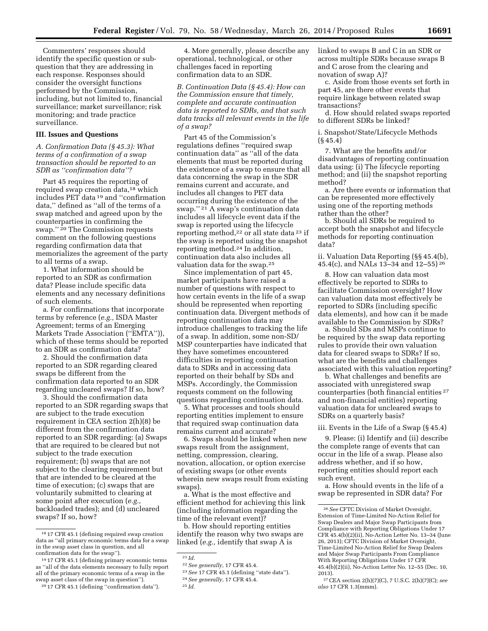Commenters' responses should identify the specific question or subquestion that they are addressing in each response. Responses should consider the oversight functions performed by the Commission, including, but not limited to, financial surveillance; market surveillance; risk monitoring; and trade practice surveillance.

# **III. Issues and Questions**

## *A. Confirmation Data (§ 45.3): What terms of a confirmation of a swap transaction should be reported to an SDR as ''confirmation data''?*

Part 45 requires the reporting of required swap creation data,<sup>18</sup> which includes PET data 19 and ''confirmation data,'' defined as ''all of the terms of a swap matched and agreed upon by the counterparties in confirming the swap."<sup>20</sup> The Commission requests comment on the following questions regarding confirmation data that memorializes the agreement of the party to all terms of a swap.

1. What information should be reported to an SDR as confirmation data? Please include specific data elements and any necessary definitions of such elements.

a. For confirmations that incorporate terms by reference (*e.g.,* ISDA Master Agreement; terms of an Emerging Markets Trade Association (''EMTA'')), which of these terms should be reported to an SDR as confirmation data?

2. Should the confirmation data reported to an SDR regarding cleared swaps be different from the confirmation data reported to an SDR regarding uncleared swaps? If so, how?

3. Should the confirmation data reported to an SDR regarding swaps that are subject to the trade execution requirement in CEA section 2(h)(8) be different from the confirmation data reported to an SDR regarding: (a) Swaps that are required to be cleared but not subject to the trade execution requirement; (b) swaps that are not subject to the clearing requirement but that are intended to be cleared at the time of execution; (c) swaps that are voluntarily submitted to clearing at some point after execution (*e.g.,*  backloaded trades); and (d) uncleared swaps? If so, how?

20 17 CFR 45.1 (defining ''confirmation data'').

4. More generally, please describe any operational, technological, or other challenges faced in reporting confirmation data to an SDR.

*B. Continuation Data (§ 45.4): How can the Commission ensure that timely, complete and accurate continuation data is reported to SDRs, and that such data tracks all relevant events in the life of a swap?* 

Part 45 of the Commission's regulations defines ''required swap continuation data'' as ''all of the data elements that must be reported during the existence of a swap to ensure that all data concerning the swap in the SDR remains current and accurate, and includes all changes to PET data occurring during the existence of the swap."<sup>21</sup> A swap's continuation data includes all lifecycle event data if the swap is reported using the lifecycle reporting method,<sup>22</sup> or all state data<sup>23</sup> if the swap is reported using the snapshot reporting method.24 In addition, continuation data also includes all valuation data for the swap.25

Since implementation of part 45, market participants have raised a number of questions with respect to how certain events in the life of a swap should be represented when reporting continuation data. Divergent methods of reporting continuation data may introduce challenges to tracking the life of a swap. In addition, some non-SD/ MSP counterparties have indicated that they have sometimes encountered difficulties in reporting continuation data to SDRs and in accessing data reported on their behalf by SDs and MSPs. Accordingly, the Commission requests comment on the following questions regarding continuation data.

5. What processes and tools should reporting entities implement to ensure that required swap continuation data remains current and accurate?

6. Swaps should be linked when new swaps result from the assignment, netting, compression, clearing, novation, allocation, or option exercise of existing swaps (or other events wherein new swaps result from existing swaps).

a. What is the most effective and efficient method for achieving this link (including information regarding the time of the relevant event)?

b. How should reporting entities identify the reason why two swaps are linked (*e.g.,* identify that swap A is

linked to swaps B and C in an SDR or across multiple SDRs because swaps B and C arose from the clearing and novation of swap A)?

c. Aside from those events set forth in part 45, are there other events that require linkage between related swap transactions?

d. How should related swaps reported to different SDRs be linked?

i. Snapshot/State/Lifecycle Methods (§ 45.4)

7. What are the benefits and/or disadvantages of reporting continuation data using: (i) The lifecycle reporting method; and (ii) the snapshot reporting method?

a. Are there events or information that can be represented more effectively using one of the reporting methods rather than the other?

b. Should all SDRs be required to accept both the snapshot and lifecycle methods for reporting continuation data?

ii. Valuation Data Reporting (§§ 45.4(b), 45.4(c), and NALs 13–34 and 12–55) 26

8. How can valuation data most effectively be reported to SDRs to facilitate Commission oversight? How can valuation data most effectively be reported to SDRs (including specific data elements), and how can it be made available to the Commission by SDRs?

a. Should SDs and MSPs continue to be required by the swap data reporting rules to provide their own valuation data for cleared swaps to SDRs? If so, what are the benefits and challenges associated with this valuation reporting?

b. What challenges and benefits are associated with unregistered swap counterparties (both financial entities 27 and non-financial entities) reporting valuation data for uncleared swaps to SDRs on a quarterly basis?

## iii. Events in the Life of a Swap (§ 45.4)

9. Please: (i) Identify and (ii) describe the complete range of events that can occur in the life of a swap. Please also address whether, and if so how, reporting entities should report each such event.

a. How should events in the life of a swap be represented in SDR data? For

<sup>18</sup> 17 CFR 45.1 (defining required swap creation data as ''all primary economic terms data for a swap in the swap asset class in question, and all confirmation data for the swap'').

<sup>19</sup> 17 CFR 45.1 (defining primary economic terms as ''all of the data elements necessary to fully report all of the primary economic terms of a swap in the swap asset class of the swap in question'').

<sup>21</sup> *Id.* 

<sup>22</sup>*See generally,* 17 CFR 45.4.

<sup>23</sup>*See* 17 CFR 45.1 (defining ''state data'').

<sup>24</sup>*See generally,* 17 CFR 45.4.

<sup>25</sup> *Id.* 

<sup>26</sup>*See* CFTC Division of Market Oversight, Extension of Time-Limited No-Action Relief for Swap Dealers and Major Swap Participants from Compliance with Reporting Obligations Under 17 CFR 45.4(b)(2)(ii), No-Action Letter No. 13–34 (June 26, 2013); CFTC Division of Market Oversight, Time-Limited No-Action Relief for Swap Dealers and Major Swap Participants From Compliance With Reporting Obligations Under 17 CFR 45.4(b)(2)(ii), No-Action Letter No. 12–55 (Dec. 10, 2013).

<sup>27</sup>CEA section 2(h)(7)(C), 7 U.S.C. 2(h)(7)(C); *see also* 17 CFR 1.3(mmm).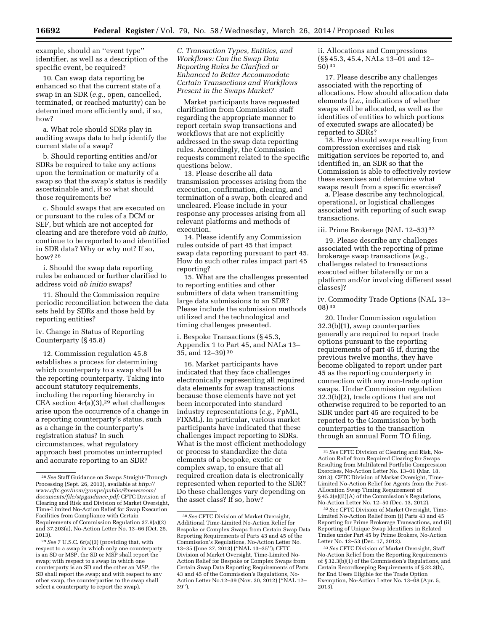example, should an ''event type'' identifier, as well as a description of the specific event, be required?

10. Can swap data reporting be enhanced so that the current state of a swap in an SDR (*e.g.,* open, cancelled, terminated, or reached maturity) can be determined more efficiently and, if so, how?

a. What role should SDRs play in auditing swaps data to help identify the current state of a swap?

b. Should reporting entities and/or SDRs be required to take any actions upon the termination or maturity of a swap so that the swap's status is readily ascertainable and, if so what should those requirements be?

c. Should swaps that are executed on or pursuant to the rules of a DCM or SEF, but which are not accepted for clearing and are therefore void *ab initio,*  continue to be reported to and identified in SDR data? Why or why not? If so, how? 28

i. Should the swap data reporting rules be enhanced or further clarified to address void *ab initio* swaps?

11. Should the Commission require periodic reconciliation between the data sets held by SDRs and those held by reporting entities?

iv. Change in Status of Reporting Counterparty (§ 45.8)

12. Commission regulation 45.8 establishes a process for determining which counterparty to a swap shall be the reporting counterparty. Taking into account statutory requirements, including the reporting hierarchy in CEA section  $4r(a)(3)$ ,<sup>29</sup> what challenges arise upon the occurrence of a change in a reporting counterparty's status, such as a change in the counterparty's registration status? In such circumstances, what regulatory approach best promotes uninterrupted and accurate reporting to an SDR?

*C. Transaction Types, Entities, and Workflows: Can the Swap Data Reporting Rules be Clarified or Enhanced to Better Accommodate Certain Transactions and Workflows Present in the Swaps Market?* 

Market participants have requested clarification from Commission staff regarding the appropriate manner to report certain swap transactions and workflows that are not explicitly addressed in the swap data reporting rules. Accordingly, the Commission requests comment related to the specific questions below.

13. Please describe all data transmission processes arising from the execution, confirmation, clearing, and termination of a swap, both cleared and uncleared. Please include in your response any processes arising from all relevant platforms and methods of execution.

14. Please identify any Commission rules outside of part 45 that impact swap data reporting pursuant to part 45. How do such other rules impact part 45 reporting?

15. What are the challenges presented to reporting entities and other submitters of data when transmitting large data submissions to an SDR? Please include the submission methods utilized and the technological and timing challenges presented.

i. Bespoke Transactions (§ 45.3, Appendix 1 to Part 45, and NALs 13– 35, and 12–39) 30

16. Market participants have indicated that they face challenges electronically representing all required data elements for swap transactions because those elements have not yet been incorporated into standard industry representations (*e.g.,* FpML, FIXML). In particular, various market participants have indicated that these challenges impact reporting to SDRs. What is the most efficient methodology or process to standardize the data elements of a bespoke, exotic or complex swap, to ensure that all required creation data is electronically represented when reported to the SDR? Do these challenges vary depending on the asset class? If so, how?

ii. Allocations and Compressions (§§ 45.3, 45.4, NALs 13–01 and 12– 50) 31

17. Please describe any challenges associated with the reporting of allocations. How should allocation data elements (*i.e.,* indications of whether swaps will be allocated, as well as the identities of entities to which portions of executed swaps are allocated) be reported to SDRs?

18. How should swaps resulting from compression exercises and risk mitigation services be reported to, and identified in, an SDR so that the Commission is able to effectively review these exercises and determine what swaps result from a specific exercise?

a. Please describe any technological, operational, or logistical challenges associated with reporting of such swap transactions.

iii. Prime Brokerage (NAL 12–53) 32

19. Please describe any challenges associated with the reporting of prime brokerage swap transactions (*e.g.,*  challenges related to transactions executed either bilaterally or on a platform and/or involving different asset classes)?

iv. Commodity Trade Options (NAL 13– 08) 33

20. Under Commission regulation 32.3(b)(1), swap counterparties generally are required to report trade options pursuant to the reporting requirements of part 45 if, during the previous twelve months, they have become obligated to report under part 45 as the reporting counterparty in connection with any non-trade option swaps. Under Commission regulation 32.3(b)(2), trade options that are not otherwise required to be reported to an SDR under part 45 are required to be reported to the Commission by both counterparties to the transaction through an annual Form TO filing.

32*See* CFTC Division of Market Oversight, Time-Limited No-Action Relief from (i) Parts 43 and 45 Reporting for Prime Brokerage Transactions, and (ii) Reporting of Unique Swap Identifiers in Related Trades under Part 45 by Prime Brokers, No-Action Letter No. 12–53 (Dec. 17, 2012).

<sup>28</sup>*See* Staff Guidance on Swaps Straight-Through Processing (Sept. 26, 2013), available at *[http://](http://www.cftc.gov/ucm/groups/public/@newsroom/documents/file/stpguidance.pdf) [www.cftc.gov/ucm/groups/public/@newsroom/](http://www.cftc.gov/ucm/groups/public/@newsroom/documents/file/stpguidance.pdf) [documents/file/stpguidance.pdf;](http://www.cftc.gov/ucm/groups/public/@newsroom/documents/file/stpguidance.pdf)* CFTC Division of Clearing and Risk and Division of Market Oversight, Time-Limited No-Action Relief for Swap Execution Facilities from Compliance with Certain Requirements of Commission Regulation 37.9(a)(2) and 37.203(a), No-Action Letter No. 13–66 (Oct. 25, 2013).

<sup>29</sup>*See* 7 U.S.C. 6r(a)(3) (providing that, with respect to a swap in which only one counterparty is an SD or MSP, the SD or MSP shall report the swap; with respect to a swap in which one counterparty is an SD and the other an MSP, the SD shall report the swap; and with respect to any other swap, the counterparties to the swap shall select a counterparty to report the swap).

<sup>30</sup>*See* CFTC Division of Market Oversight, Additional Time-Limited No-Action Relief for Bespoke or Complex Swaps from Certain Swap Data Reporting Requirements of Parts 43 and 45 of the Commission's Regulations, No-Action Letter No. 13–35 (June 27, 2013) (''NAL 13–35''); CFTC Division of Market Oversight, Time-Limited No-Action Relief for Bespoke or Complex Swaps from Certain Swap Data Reporting Requirements of Parts 43 and 45 of the Commission's Regulations, No-Action Letter No.12–39 (Nov. 30, 2012) (''NAL 12– 39'').

<sup>31</sup>*See* CFTC Division of Clearing and Risk, No-Action Relief from Required Clearing for Swaps Resulting from Multilateral Portfolio Compression Exercises, No-Action Letter No. 13–01 (Mar. 18. 2013); CFTC Division of Market Oversight, Time-Limited No-Action Relief for Agents from the Post-Allocation Swap Timing Requirement of § 45.3(e)(ii)(A) of the Commission's Regulations, No-Action Letter No. 12–50 (Dec. 13, 2012).

<sup>33</sup>*See* CFTC Division of Market Oversight, Staff No-Action Relief from the Reporting Requirements of § 32.3(b)(1) of the Commission's Regulations, and Certain Recordkeeping Requirements of § 32.3(b), for End Users Eligible for the Trade Option Exemption, No-Action Letter No. 13–08 (Apr. 5, 2013).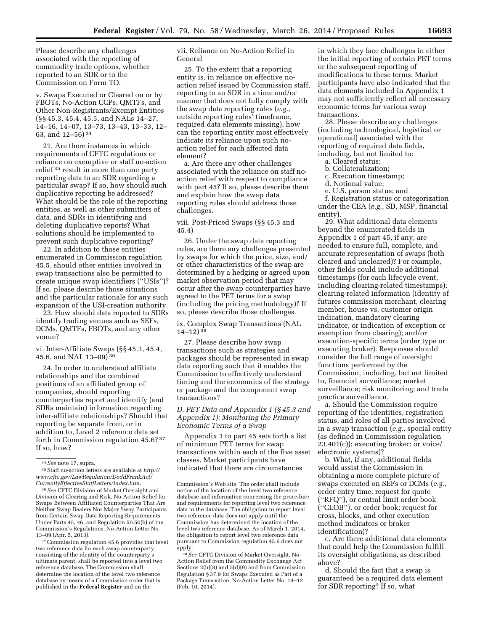Please describe any challenges associated with the reporting of commodity trade options, whether reported to an SDR or to the Commission on Form TO.

v. Swaps Executed or Cleared on or by FBOTs, No-Action CCPs, QMTFs, and Other Non-Registrants/Exempt Entities (§§ 45.3, 45.4, 45.5, and NALs 14–27, 14–16, 14–07, 13–73, 13–43, 13–33, 12– 63, and 12–56) 34

21. Are there instances in which requirements of CFTC regulations or reliance on exemptive or staff no-action relief 35 result in more than one party reporting data to an SDR regarding a particular swap? If so, how should such duplicative reporting be addressed? What should be the role of the reporting entities, as well as other submitters of data, and SDRs in identifying and deleting duplicative reports? What solutions should be implemented to prevent such duplicative reporting?

22. In addition to those entities enumerated in Commission regulation 45.5, should other entities involved in swap transactions also be permitted to create unique swap identifiers (''USIs'')? If so, please describe those situations and the particular rationale for any such expansion of the USI-creation authority.

23. How should data reported to SDRs identify trading venues such as SEFs, DCMs, QMTFs, FBOTs, and any other venue?

vi. Inter-Affiliate Swaps (§§ 45.3, 45.4, 45.6, and NAL 13–09) 36

24. In order to understand affiliate relationships and the combined positions of an affiliated group of companies, should reporting counterparties report and identify (and SDRs maintain) information regarding inter-affiliate relationships? Should that reporting be separate from, or in addition to, Level 2 reference data set forth in Commission regulation 45.6? 37 If so, how?

35Staff no-action letters are available at *[http://](http://www.cftc.gov/LawRegulation/DoddFrankAct/CurrentlyEffectiveStaffLetters/index.htm) [www.cftc.gov/LawRegulation/DoddFrankAct/](http://www.cftc.gov/LawRegulation/DoddFrankAct/CurrentlyEffectiveStaffLetters/index.htm) [CurrentlyEffectiveStaffLetters/index.htm.](http://www.cftc.gov/LawRegulation/DoddFrankAct/CurrentlyEffectiveStaffLetters/index.htm)* 

36*See* CFTC Division of Market Oversight and Division of Clearing and Risk, No-Action Relief for Swaps Between Affiliated Counterparties That Are Neither Swap Dealers Nor Major Swap Participants from Certain Swap Data Reporting Requirements Under Parts 45, 46, and Regulation 50.50(b) of the Commission's Regulations, No-Action Letter No. 13–09 (Apr. 5, 2013).

37Commission regulation 45.6 provides that level two reference data for each swap counterparty, consisting of the identity of the counterparty's ultimate parent, shall be reported into a level two reference database. The Commission shall determine the location of the level two reference database by means of a Commission order that is published in the **Federal Register** and on the

vii. Reliance on No-Action Relief in General

25. To the extent that a reporting entity is, in reliance on effective noaction relief issued by Commission staff, reporting to an SDR in a time and/or manner that does not fully comply with the swap data reporting rules (*e.g.,*  outside reporting rules' timeframe, required data elements missing), how can the reporting entity most effectively indicate its reliance upon such noaction relief for each affected data element?

a. Are there any other challenges associated with the reliance on staff noaction relief with respect to compliance with part 45? If so, please describe them and explain how the swap data reporting rules should address those challenges.

viii. Post-Priced Swaps (§§ 45.3 and 45.4)

26. Under the swap data reporting rules, are there any challenges presented by swaps for which the price, size, and/ or other characteristics of the swap are determined by a hedging or agreed upon market observation period that may occur after the swap counterparties have agreed to the PET terms for a swap (including the pricing methodology)? If so, please describe those challenges.

ix. Complex Swap Transactions (NAL 14–12) 38

27. Please describe how swap transactions such as strategies and packages should be represented in swap data reporting such that it enables the Commission to effectively understand timing and the economics of the strategy or package and the component swap transactions?

*D. PET Data and Appendix 1 (§ 45.3 and Appendix 1): Monitoring the Primary Economic Terms of a Swap* 

Appendix 1 to part 45 sets forth a list of minimum PET terms for swap transactions within each of the five asset classes. Market participants have indicated that there are circumstances

38*See* CFTC Division of Market Oversight, No-Action Relief from the Commodity Exchange Act Sections 2(h)(8) and 5(d)(9) and from Commission Regulation § 37.9 for Swaps Executed as Part of a Package Transaction, No-Action Letter No. 14–12 (Feb. 10, 2014).

in which they face challenges in either the initial reporting of certain PET terms or the subsequent reporting of modifications to these terms. Market participants have also indicated that the data elements included in Appendix 1 may not sufficiently reflect all necessary economic terms for various swap transactions.

28. Please describe any challenges (including technological, logistical or operational) associated with the reporting of required data fields, including, but not limited to:

- a. Cleared status;
- b. Collateralization;
- c. Execution timestamp;
- d. Notional value;
- e. U.S. person status; and

f. Registration status or categorization under the CEA (*e.g.,* SD, MSP, financial entity).

29. What additional data elements beyond the enumerated fields in Appendix 1 of part 45, if any, are needed to ensure full, complete, and accurate representation of swaps (both cleared and uncleared)? For example, other fields could include additional timestamps (for each lifecycle event, including clearing-related timestamps); clearing-related information (identity of futures commission merchant, clearing member, house vs. customer origin indication, mandatory clearing indicator, or indication of exception or exemption from clearing); and/or execution-specific terms (order type or executing broker). Responses should consider the full range of oversight functions performed by the Commission, including, but not limited to, financial surveillance; market surveillance; risk monitoring; and trade practice surveillance.

a. Should the Commission require reporting of the identities, registration status, and roles of all parties involved in a swap transaction (*e.g.,* special entity (as defined in Commission regulation 23.401(c)); executing broker; or voice/ electronic systems)?

b. What, if any, additional fields would assist the Commission in obtaining a more complete picture of swaps executed on SEFs or DCMs (*e.g.,*  order entry time; request for quote (''RFQ''), or central limit order book (''CLOB''), or order book; request for cross, blocks, and other execution method indicators or broker identification)?

c. Are there additional data elements that could help the Commission fulfill its oversight obligations, as described above?

d. Should the fact that a swap is guaranteed be a required data element for SDR reporting? If so, what

<sup>34</sup>*See* note 17, supra.

Commission's Web site. The order shall include notice of the location of the level two reference database and information concerning the procedure and requirements for reporting level two reference data to the database. The obligation to report level two reference data does not apply until the Commission has determined the location of the level two reference database. As of March 1, 2014, the obligation to report level two reference data pursuant to Commission regulation 45.6 does not apply.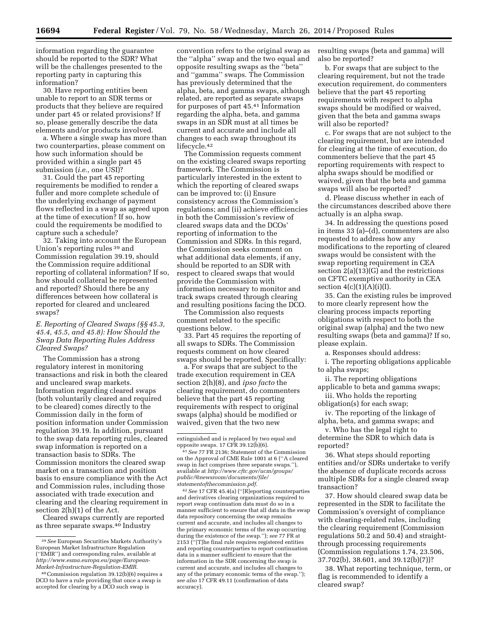information regarding the guarantee should be reported to the SDR? What will be the challenges presented to the reporting party in capturing this information?

30. Have reporting entities been unable to report to an SDR terms or products that they believe are required under part 45 or related provisions? If so, please generally describe the data elements and/or products involved.

a. Where a single swap has more than two counterparties, please comment on how such information should be provided within a single part 45 submission (*i.e.,* one USI)?

31. Could the part 45 reporting requirements be modified to render a fuller and more complete schedule of the underlying exchange of payment flows reflected in a swap as agreed upon at the time of execution? If so, how could the requirements be modified to capture such a schedule?

32. Taking into account the European Union's reporting rules 39 and Commission regulation 39.19, should the Commission require additional reporting of collateral information? If so, how should collateral be represented and reported? Should there be any differences between how collateral is reported for cleared and uncleared swaps?

# *E. Reporting of Cleared Swaps (§§ 45.3, 45.4, 45.5, and 45.8): How Should the Swap Data Reporting Rules Address Cleared Swaps?*

The Commission has a strong regulatory interest in monitoring transactions and risk in both the cleared and uncleared swap markets. Information regarding cleared swaps (both voluntarily cleared and required to be cleared) comes directly to the Commission daily in the form of position information under Commission regulation 39.19. In addition, pursuant to the swap data reporting rules, cleared swap information is reported on a transaction basis to SDRs. The Commission monitors the cleared swap market on a transaction and position basis to ensure compliance with the Act and Commission rules, including those associated with trade execution and clearing and the clearing requirement in section 2(h)(1) of the Act.

Cleared swaps currently are reported as three separate swaps.40 Industry

convention refers to the original swap as the ''alpha'' swap and the two equal and opposite resulting swaps as the ''beta'' and ''gamma'' swaps. The Commission has previously determined that the alpha, beta, and gamma swaps, although related, are reported as separate swaps for purposes of part 45.41 Information regarding the alpha, beta, and gamma swaps in an SDR must at all times be current and accurate and include all changes to each swap throughout its lifecycle.<sup>42</sup>

The Commission requests comment on the existing cleared swaps reporting framework. The Commission is particularly interested in the extent to which the reporting of cleared swaps can be improved to: (i) Ensure consistency across the Commission's regulations; and (ii) achieve efficiencies in both the Commission's review of cleared swaps data and the DCOs' reporting of information to the Commission and SDRs. In this regard, the Commission seeks comment on what additional data elements, if any, should be reported to an SDR with respect to cleared swaps that would provide the Commission with information necessary to monitor and track swaps created through clearing and resulting positions facing the DCO.

The Commission also requests comment related to the specific questions below.

33. Part 45 requires the reporting of all swaps to SDRs. The Commission requests comment on how cleared swaps should be reported. Specifically:

a. For swaps that are subject to the trade execution requirement in CEA section 2(h)(8), and *ipso facto* the clearing requirement, do commenters believe that the part 45 reporting requirements with respect to original swaps (alpha) should be modified or waived, given that the two new

42*See* 17 CFR 45.4(a) (''[R]eporting counterparties and derivatives clearing organizations required to report swap continuation data must do so in a manner sufficient to ensure that all data in the swap data repository concerning the swap remains current and accurate, and includes all changes to the primary economic terms of the swap occurring during the existence of the swap.''); *see* 77 FR at 2153 (''[T]he final rule requires registered entities and reporting counterparties to report continuation data in a manner sufficient to ensure that the information in the SDR concerning the swap is current and accurate, and includes all changes to any of the primary economic terms of the swap.''); *see also* 17 CFR 49.11 (confirmation of data accuracy).

resulting swaps (beta and gamma) will also be reported?

b. For swaps that are subject to the clearing requirement, but not the trade execution requirement, do commenters believe that the part 45 reporting requirements with respect to alpha swaps should be modified or waived, given that the beta and gamma swaps will also be reported?

c. For swaps that are not subject to the clearing requirement, but are intended for clearing at the time of execution, do commenters believe that the part 45 reporting requirements with respect to alpha swaps should be modified or waived, given that the beta and gamma swaps will also be reported?

d. Please discuss whether in each of the circumstances described above there actually is an alpha swap.

34. In addressing the questions posed in items 33 (a)–(d), commenters are also requested to address how any modifications to the reporting of cleared swaps would be consistent with the swap reporting requirement in CEA section 2(a)(13)(G) and the restrictions on CFTC exemptive authority in CEA section  $4(c)(1)(A)(i)(I)$ .

35. Can the existing rules be improved to more clearly represent how the clearing process impacts reporting obligations with respect to both the original swap (alpha) and the two new resulting swaps (beta and gamma)? If so, please explain.

a. Responses should address:

i. The reporting obligations applicable to alpha swaps;

ii. The reporting obligations applicable to beta and gamma swaps;

iii. Who holds the reporting obligation(s) for each swap;

iv. The reporting of the linkage of alpha, beta, and gamma swaps; and

v. Who has the legal right to determine the SDR to which data is reported?

36. What steps should reporting entities and/or SDRs undertake to verify the absence of duplicate records across multiple SDRs for a single cleared swap transaction?

37. How should cleared swap data be represented in the SDR to facilitate the Commission's oversight of compliance with clearing-related rules, including the clearing requirement (Commission regulations 50.2 and 50.4) and straightthrough processing requirements (Commission regulations 1.74, 23.506, 37.702(b), 38.601, and 39.12(b)(7))?

38. What reporting technique, term, or flag is recommended to identify a cleared swap?

<sup>39</sup>*See* European Securities Markets Authority's European Market Infrastructure Regulation (''EMIR'') and corresponding rules, available at *[http://www.esma.europa.eu/page/European-](http://www.esma.europa.eu/page/European-Market-Infrastructure-Regulation-EMIR)[Market-Infrastructure-Regulation-EMIR.](http://www.esma.europa.eu/page/European-Market-Infrastructure-Regulation-EMIR)* 

<sup>40</sup>Commission regulation 39.12(b)(6) requires a DCO to have a rule providing that once a swap is accepted for clearing by a DCO such swap is

extinguished and is replaced by two equal and opposite swaps. 17 CFR 39.12(b)(6).

<sup>41</sup>*See* 77 FR 2136; Statement of the Commission on the Approval of CME Rule 1001 at 6 (''A cleared swap in fact comprises three separate swaps.''), available at *[http://www.cftc.gov/ucm/groups/](http://www.cftc.gov/ucm/groups/public/@newsroom/documents/file/statementofthecommission.pdf) [public/@newsroom/documents/file/](http://www.cftc.gov/ucm/groups/public/@newsroom/documents/file/statementofthecommission.pdf) [statementofthecommission.pdf](http://www.cftc.gov/ucm/groups/public/@newsroom/documents/file/statementofthecommission.pdf)*.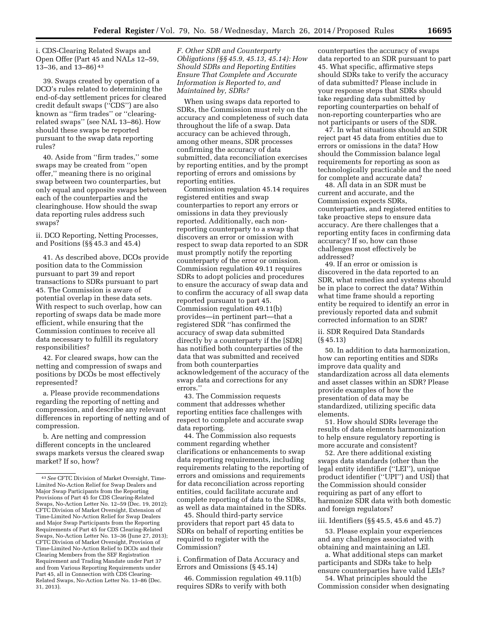i. CDS-Clearing Related Swaps and Open Offer (Part 45 and NALs 12–59, 13–36, and 13–86) 43

39. Swaps created by operation of a DCO's rules related to determining the end-of-day settlement prices for cleared credit default swaps (''CDS'') are also known as ''firm trades'' or ''clearingrelated swaps'' (see NAL 13–86). How should these swaps be reported pursuant to the swap data reporting rules?

40. Aside from ''firm trades,'' some swaps may be created from ''open offer,'' meaning there is no original swap between two counterparties, but only equal and opposite swaps between each of the counterparties and the clearinghouse. How should the swap data reporting rules address such swaps?

ii. DCO Reporting, Netting Processes, and Positions (§§ 45.3 and 45.4)

41. As described above, DCOs provide position data to the Commission pursuant to part 39 and report transactions to SDRs pursuant to part 45. The Commission is aware of potential overlap in these data sets. With respect to such overlap, how can reporting of swaps data be made more efficient, while ensuring that the Commission continues to receive all data necessary to fulfill its regulatory responsibilities?

42. For cleared swaps, how can the netting and compression of swaps and positions by DCOs be most effectively represented?

a. Please provide recommendations regarding the reporting of netting and compression, and describe any relevant differences in reporting of netting and of compression.

b. Are netting and compression different concepts in the uncleared swaps markets versus the cleared swap market? If so, how?

*F. Other SDR and Counterparty Obligations (§§ 45.9, 45.13, 45.14): How Should SDRs and Reporting Entities Ensure That Complete and Accurate Information is Reported to, and Maintained by, SDRs?* 

When using swaps data reported to SDRs, the Commission must rely on the accuracy and completeness of such data throughout the life of a swap. Data accuracy can be achieved through, among other means, SDR processes confirming the accuracy of data submitted, data reconciliation exercises by reporting entities, and by the prompt reporting of errors and omissions by reporting entities.

Commission regulation 45.14 requires registered entities and swap counterparties to report any errors or omissions in data they previously reported. Additionally, each nonreporting counterparty to a swap that discovers an error or omission with respect to swap data reported to an SDR must promptly notify the reporting counterparty of the error or omission. Commission regulation 49.11 requires SDRs to adopt policies and procedures to ensure the accuracy of swap data and to confirm the accuracy of all swap data reported pursuant to part 45. Commission regulation 49.11(b) provides—in pertinent part—that a registered SDR ''has confirmed the accuracy of swap data submitted directly by a counterparty if the [SDR] has notified both counterparties of the data that was submitted and received from both counterparties acknowledgement of the accuracy of the swap data and corrections for any errors.''

43. The Commission requests comment that addresses whether reporting entities face challenges with respect to complete and accurate swap data reporting.

44. The Commission also requests comment regarding whether clarifications or enhancements to swap data reporting requirements, including requirements relating to the reporting of errors and omissions and requirements for data reconciliation across reporting entities, could facilitate accurate and complete reporting of data to the SDRs, as well as data maintained in the SDRs.

45. Should third-party service providers that report part 45 data to SDRs on behalf of reporting entities be required to register with the Commission?

i. Confirmation of Data Accuracy and Errors and Omissions (§ 45.14)

46. Commission regulation 49.11(b) requires SDRs to verify with both

counterparties the accuracy of swaps data reported to an SDR pursuant to part 45. What specific, affirmative steps should SDRs take to verify the accuracy of data submitted? Please include in your response steps that SDRs should take regarding data submitted by reporting counterparties on behalf of non-reporting counterparties who are not participants or users of the SDR.

47. In what situations should an SDR reject part 45 data from entities due to errors or omissions in the data? How should the Commission balance legal requirements for reporting as soon as technologically practicable and the need for complete and accurate data?

48. All data in an SDR must be current and accurate, and the Commission expects SDRs, counterparties, and registered entities to take proactive steps to ensure data accuracy. Are there challenges that a reporting entity faces in confirming data accuracy? If so, how can those challenges most effectively be addressed?

49. If an error or omission is discovered in the data reported to an SDR, what remedies and systems should be in place to correct the data? Within what time frame should a reporting entity be required to identify an error in previously reported data and submit corrected information to an SDR?

ii. SDR Required Data Standards (§ 45.13)

50. In addition to data harmonization, how can reporting entities and SDRs improve data quality and standardization across all data elements and asset classes within an SDR? Please provide examples of how the presentation of data may be standardized, utilizing specific data elements.

51. How should SDRs leverage the results of data elements harmonization to help ensure regulatory reporting is more accurate and consistent?

52. Are there additional existing swaps data standards (other than the legal entity identifier (''LEI''), unique product identifier (''UPI'') and USI) that the Commission should consider requiring as part of any effort to harmonize SDR data with both domestic and foreign regulators?

## iii. Identifiers (§§ 45.5, 45.6 and 45.7)

53. Please explain your experiences and any challenges associated with obtaining and maintaining an LEI.

a. What additional steps can market participants and SDRs take to help ensure counterparties have valid LEIs?

54. What principles should the Commission consider when designating

<sup>43</sup>*See* CFTC Division of Market Oversight, Time-Limited No-Action Relief for Swap Dealers and Major Swap Participants from the Reporting Provisions of Part 45 for CDS Clearing-Related Swaps, No-Action Letter No. 12–59 (Dec. 19, 2012); CFTC Division of Market Oversight, Extension of Time-Limited No-Action Relief for Swap Dealers and Major Swap Participants from the Reporting Requirements of Part 45 for CDS Clearing-Related Swaps, No-Action Letter No. 13–36 (June 27, 2013); CFTC Division of Market Oversight, Provision of Time-Limited No-Action Relief to DCOs and their Clearing Members from the SEF Registration Requirement and Trading Mandate under Part 37 and from Various Reporting Requirements under Part 45, all in Connection with CDS Clearing-Related Swaps, No-Action Letter No. 13–86 (Dec. 31, 2013).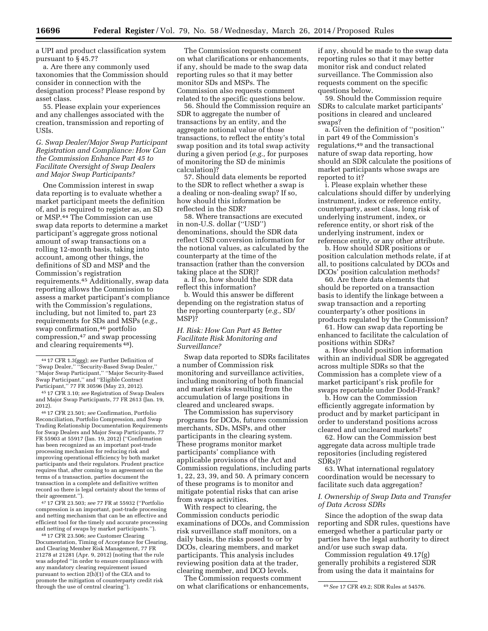a UPI and product classification system pursuant to § 45.7?

a. Are there any commonly used taxonomies that the Commission should consider in connection with the designation process? Please respond by asset class.

55. Please explain your experiences and any challenges associated with the creation, transmission and reporting of USIs.

# *G. Swap Dealer/Major Swap Participant Registration and Compliance: How Can the Commission Enhance Part 45 to Facilitate Oversight of Swap Dealers and Major Swap Participants?*

One Commission interest in swap data reporting is to evaluate whether a market participant meets the definition of, and is required to register as, an SD or MSP.44 The Commission can use swap data reports to determine a market participant's aggregate gross notional amount of swap transactions on a rolling 12-month basis, taking into account, among other things, the definitions of SD and MSP and the Commission's registration requirements.45 Additionally, swap data reporting allows the Commission to assess a market participant's compliance with the Commission's regulations, including, but not limited to, part 23 requirements for SDs and MSPs (*e.g.,*  swap confirmation,<sup>46</sup> portfolio compression,47 and swap processing and clearing requirements 48).

46 17 CFR 23.501; *see* Confirmation, Portfolio Reconciliation, Portfolio Compression, and Swap Trading Relationship Documentation Requirements for Swap Dealers and Major Swap Participants, 77 FR 55903 at 55917 (Jan. 19, 2012) (''Confirmation has been recognized as an important post-trade processing mechanism for reducing risk and improving operational efficiency by both market participants and their regulators. Prudent practice requires that, after coming to an agreement on the terms of a transaction, parties document the transaction in a complete and definitive written record so there is legal certainty about the terms of their agreement.'').

47 17 CFR 23.503; *see* 77 FR at 55932 (''Portfolio compression is an important, post-trade processing and netting mechanism that can be an effective and efficient tool for the timely and accurate processing and netting of swaps by market participants.'').

48 17 CFR 23.506; *see* Customer Clearing Documentation, Timing of Acceptance for Clearing, and Clearing Member Risk Management, 77 FR 21278 at 21281 (Apr. 9, 2012) (noting that the rule was adopted ''in order to ensure compliance with any mandatory clearing requirement issued pursuant to section 2(h)(1) of the CEA and to

The Commission requests comment on what clarifications or enhancements, if any, should be made to the swap data reporting rules so that it may better monitor SDs and MSPs. The Commission also requests comment related to the specific questions below.

56. Should the Commission require an SDR to aggregate the number of transactions by an entity, and the aggregate notional value of those transactions, to reflect the entity's total swap position and its total swap activity during a given period (*e.g.,* for purposes of monitoring the SD de minimis calculation)?

57. Should data elements be reported to the SDR to reflect whether a swap is a dealing or non-dealing swap? If so, how should this information be reflected in the SDR?

58. Where transactions are executed in non-U.S. dollar (''USD'') denominations, should the SDR data reflect USD conversion information for the notional values, as calculated by the counterparty at the time of the transaction (rather than the conversion taking place at the SDR)?

a. If so, how should the SDR data reflect this information?

b. Would this answer be different depending on the registration status of the reporting counterparty (*e.g.,* SD/ MSP)?

# *H. Risk: How Can Part 45 Better Facilitate Risk Monitoring and Surveillance?*

Swap data reported to SDRs facilitates a number of Commission risk monitoring and surveillance activities, including monitoring of both financial and market risks resulting from the accumulation of large positions in cleared and uncleared swaps.

The Commission has supervisory programs for DCOs, futures commission merchants, SDs, MSPs, and other participants in the clearing system. These programs monitor market participants' compliance with applicable provisions of the Act and Commission regulations, including parts 1, 22, 23, 39, and 50. A primary concern of these programs is to monitor and mitigate potential risks that can arise from swaps activities.

With respect to clearing, the Commission conducts periodic examinations of DCOs, and Commission risk surveillance staff monitors, on a daily basis, the risks posed to or by DCOs, clearing members, and market participants. This analysis includes reviewing position data at the trader, clearing member, and DCO levels.

promote the mitigation of counterparty credit risk three Collimission requests comments, and *See 17 CFR 49.2; SDR Rules at 54576.*<br>through the use of central clearing''). https://web.artifications.or enhancements, and *Se* The Commission requests comment on what clarifications or enhancements,

if any, should be made to the swap data reporting rules so that it may better monitor risk and conduct related surveillance. The Commission also requests comment on the specific questions below.

59. Should the Commission require SDRs to calculate market participants' positions in cleared and uncleared swaps?

a. Given the definition of ''position'' in part 49 of the Commission's regulations,49 and the transactional nature of swap data reporting, how should an SDR calculate the positions of market participants whose swaps are reported to it?

i. Please explain whether these calculations should differ by underlying instrument, index or reference entity, counterparty, asset class, long risk of underlying instrument, index, or reference entity, or short risk of the underlying instrument, index or reference entity, or any other attribute.

b. How should SDR positions or position calculation methods relate, if at all, to positions calculated by DCOs and DCOs' position calculation methods?

60. Are there data elements that should be reported on a transaction basis to identify the linkage between a swap transaction and a reporting counterparty's other positions in products regulated by the Commission?

61. How can swap data reporting be enhanced to facilitate the calculation of positions within SDRs?

a. How should position information within an individual SDR be aggregated across multiple SDRs so that the Commission has a complete view of a market participant's risk profile for swaps reportable under Dodd-Frank?

b. How can the Commission efficiently aggregate information by product and by market participant in order to understand positions across cleared and uncleared markets?

62. How can the Commission best aggregate data across multiple trade repositories (including registered SDRs)?

63. What international regulatory coordination would be necessary to facilitate such data aggregation?

# *I. Ownership of Swap Data and Transfer of Data Across SDRs*

Since the adoption of the swap data reporting and SDR rules, questions have emerged whether a particular party or parties have the legal authority to direct and/or use such swap data.

Commission regulation 49.17(g) generally prohibits a registered SDR from using the data it maintains for

<sup>44</sup> 17 CFR 1.3(ggg); *see* Further Definition of ''Swap Dealer,'' ''Security-Based Swap Dealer,'' ''Major Swap Participant,'' ''Major Security-Based Swap Participant,'' and ''Eligible Contract Participant,'' 77 FR 30596 (May 23, 2012).

<sup>45</sup> 17 CFR 3.10; *see* Registration of Swap Dealers and Major Swap Participants, 77 FR 2613 (Jan. 19, 2012).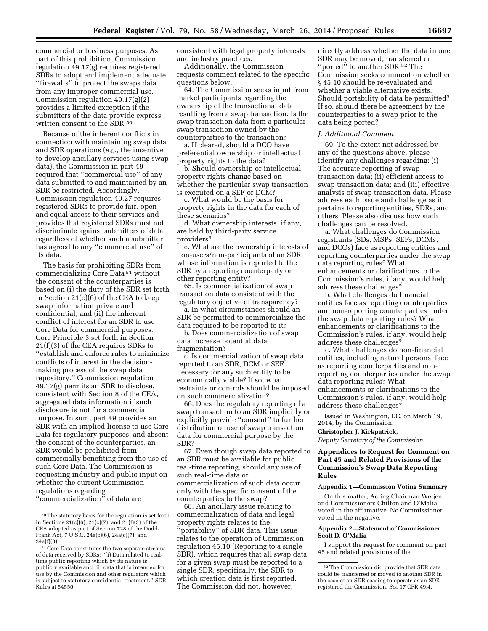commercial or business purposes. As part of this prohibition, Commission regulation 49.17(g) requires registered SDRs to adopt and implement adequate ''firewalls'' to protect the swaps data from any improper commercial use. Commission regulation 49.17(g)(2) provides a limited exception if the submitters of the data provide express written consent to the SDR.50

Because of the inherent conflicts in connection with maintaining swap data and SDR operations (*e.g.,* the incentive to develop ancillary services using swap data), the Commission in part 49 required that ''commercial use'' of any data submitted to and maintained by an SDR be restricted. Accordingly, Commission regulation 49.27 requires registered SDRs to provide fair, open and equal access to their services and provides that registered SDRs must not discriminate against submitters of data regardless of whether such a submitter has agreed to any ''commercial use'' of its data.

The basis for prohibiting SDRs from commercializing Core Data 51 without the consent of the counterparties is based on (i) the duty of the SDR set forth in Section 21(c)(6) of the CEA to keep swap information private and confidential, and (ii) the inherent conflict of interest for an SDR to use Core Data for commercial purposes. Core Principle 3 set forth in Section 21(f)(3) of the CEA requires SDRs to ''establish and enforce rules to minimize conflicts of interest in the decisionmaking process of the swap data repository.'' Commission regulation 49.17(g) permits an SDR to disclose, consistent with Section 8 of the CEA, aggregated data information if such disclosure is not for a commercial purpose. In sum, part 49 provides an SDR with an implied license to use Core Data for regulatory purposes, and absent the consent of the counterparties, an SDR would be prohibited from commercially benefiting from the use of such Core Data. The Commission is requesting industry and public input on whether the current Commission regulations regarding ''commercialization'' of data are

consistent with legal property interests and industry practices.

Additionally, the Commission requests comment related to the specific questions below.

64. The Commission seeks input from market participants regarding the ownership of the transactional data resulting from a swap transaction. Is the swap transaction data from a particular swap transaction owned by the counterparties to the transaction?

a. If cleared, should a DCO have preferential ownership or intellectual property rights to the data?

b. Should ownership or intellectual property rights change based on whether the particular swap transaction is executed on a SEF or DCM?

c. What would be the basis for property rights in the data for each of these scenarios?

d. What ownership interests, if any, are held by third-party service providers?

e. What are the ownership interests of non-users/non-participants of an SDR whose information is reported to the SDR by a reporting counterparty or other reporting entity?

65. Is commercialization of swap transaction data consistent with the regulatory objective of transparency?

a. In what circumstances should an SDR be permitted to commercialize the data required to be reported to it?

b. Does commercialization of swap data increase potential data fragmentation?

c. Is commercialization of swap data reported to an SDR, DCM or SEF necessary for any such entity to be economically viable? If so, what restraints or controls should be imposed on such commercialization?

66. Does the regulatory reporting of a swap transaction to an SDR implicitly or explicitly provide ''consent'' to further distribution or use of swap transaction data for commercial purpose by the SDR?

67. Even though swap data reported to an SDR must be available for public real-time reporting, should any use of such real-time data or commercialization of such data occur only with the specific consent of the counterparties to the swap?

68. An ancillary issue relating to commercialization of data and legal property rights relates to the 'portability'' of SDR data. This issue relates to the operation of Commission regulation 45.10 (Reporting to a single SDR), which requires that all swap data for a given swap must be reported to a single SDR, specifically, the SDR to which creation data is first reported. The Commission did not, however,

directly address whether the data in one SDR may be moved, transferred or "ported" to another SDR.<sup>52</sup> The Commission seeks comment on whether § 45.10 should be re-evaluated and whether a viable alternative exists. Should portability of data be permitted? If so, should there be agreement by the counterparties to a swap prior to the data being ported?

#### *J. Additional Comment*

69. To the extent not addressed by any of the questions above, please identify any challenges regarding: (i) The accurate reporting of swap transaction data; (ii) efficient access to swap transaction data; and (iii) effective analysis of swap transaction data. Please address each issue and challenge as it pertains to reporting entities, SDRs, and others. Please also discuss how such challenges can be resolved.

a. What challenges do Commission registrants (SDs, MSPs, SEFs, DCMs, and DCOs) face as reporting entities and reporting counterparties under the swap data reporting rules? What enhancements or clarifications to the Commission's rules, if any, would help address these challenges?

b. What challenges do financial entities face as reporting counterparties and non-reporting counterparties under the swap data reporting rules? What enhancements or clarifications to the Commission's rules, if any, would help address these challenges?

c. What challenges do non-financial entities, including natural persons, face as reporting counterparties and nonreporting counterparties under the swap data reporting rules? What enhancements or clarifications to the Commission's rules, if any, would help address these challenges?

Issued in Washington, DC, on March 19, 2014, by the Commission.

#### **Christopher J. Kirkpatrick,**

*Deputy Secretary of the Commission.* 

# **Appendices to Request for Comment on Part 45 and Related Provisions of the Commission's Swap Data Reporting Rules**

## **Appendix 1—Commission Voting Summary**

On this matter, Acting Chairman Wetjen and Commissioners Chilton and O'Malia voted in the affirmative. No Commissioner voted in the negative.

## **Appendix 2—Statement of Commissioner Scott D. O'Malia**

I support the request for comment on part 45 and related provisions of the

<sup>50</sup>The statutory basis for the regulation is set forth in Sections 21(c)(6), 21(c)(7), and 21(f)(3) of the CEA adopted as part of Section 728 of the Dodd-Frank Act, 7 U.S.C. 24a(c)(6), 24a(c)(7), and 24a(f)(3).

<sup>51</sup>Core Data constitutes the two separate streams of data received by SDRs: ''(i) Data related to realtime public reporting which by its nature is publicly available and (ii) data that is intended for use by the Commission and other regulators which is subject to statutory confidential treatment.'' SDR Rules at 54550.

<sup>52</sup>The Commission did provide that SDR data could be transferred or moved to another SDR in the case of an SDR ceasing to operate as an SDR registered the Commission. *See* 17 CFR 49.4.